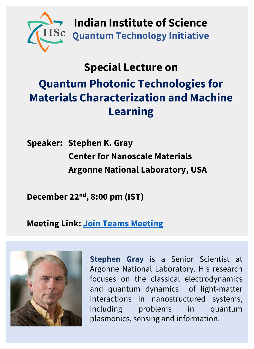

**Indian Institute of Science Quantum Technology Initiative**

## **Special Lecture on**

## **Quantum Photonic Technologies for Materials Characterization and Machine Learning**

**Speaker: Stephen K. Gray Center for Nanoscale Materials Argonne National Laboratory, USA**

**December 22nd, 8:00 pm (IST)**

## **Meeting Link: [Join Teams Meeting](https://teams.microsoft.com/dl/launcher/launcher.html?url=%2F_%23%2Fl%2Fmeetup-join%2F19%3Ameeting_MTg2NjBhOTAtZGUzMS00Zjk1LWE3MDItOWU2YjljOGVlZWY0%40thread.v2%2F0%3Fcontext%3D%257b%2522Tid%2522%253a%25226f15cd97-f6a7-41e3-b2c5-ad4193976476%2522%252c%2522Oid%2522%253a%2522be4932bc-109c-40dd-a526-9c87cf7baa07%2522%257d%26anon%3Dtrue&type=meetup-join&deeplinkId=ec3ff587-01f4-41cb-8f8c-2147e3d781fe&directDl=true&msLaunch=true&enableMobilePage=true&suppressPrompt=true)**



**Stephen Gray** is a Senior Scientist at Argonne National Laboratory. His research focuses on the classical electrodynamics and quantum dynamics of light-matter interactions in nanostructured systems, including problems in quantum plasmonics, sensing and information.